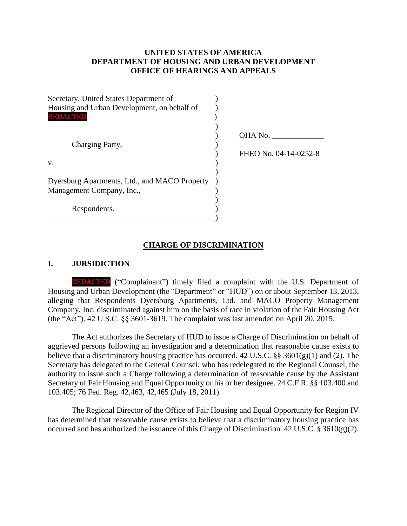### **UNITED STATES OF AMERICA DEPARTMENT OF HOUSING AND URBAN DEVELOPMENT OFFICE OF HEARINGS AND APPEALS**

| Secretary, United States Department of        |                       |
|-----------------------------------------------|-----------------------|
| Housing and Urban Development, on behalf of   |                       |
| REDACTED                                      |                       |
|                                               |                       |
|                                               | OHA No.               |
| Charging Party,                               |                       |
|                                               | FHEO No. 04-14-0252-8 |
| V.                                            |                       |
|                                               |                       |
| Dyersburg Apartments, Ltd., and MACO Property |                       |
| Management Company, Inc.,                     |                       |
|                                               |                       |
| Respondents.                                  |                       |
|                                               |                       |

#### **CHARGE OF DISCRIMINATION**

#### **I. JURSIDICTION**

REDACTED ("Complainant") timely filed a complaint with the U.S. Department of Housing and Urban Development (the "Department" or "HUD") on or about September 13, 2013, alleging that Respondents Dyersburg Apartments, Ltd. and MACO Property Management Company, Inc. discriminated against him on the basis of race in violation of the Fair Housing Act (the "Act"), 42 U.S.C. §§ 3601-3619. The complaint was last amended on April 20, 2015.

The Act authorizes the Secretary of HUD to issue a Charge of Discrimination on behalf of aggrieved persons following an investigation and a determination that reasonable cause exists to believe that a discriminatory housing practice has occurred. 42 U.S.C.  $\S$ § 3601(g)(1) and (2). The Secretary has delegated to the General Counsel, who has redelegated to the Regional Counsel, the authority to issue such a Charge following a determination of reasonable cause by the Assistant Secretary of Fair Housing and Equal Opportunity or his or her designee. 24 C.F.R. §§ 103.400 and 103.405; 76 Fed. Reg. 42,463, 42,465 (July 18, 2011).

The Regional Director of the Office of Fair Housing and Equal Opportunity for Region IV has determined that reasonable cause exists to believe that a discriminatory housing practice has occurred and has authorized the issuance of this Charge of Discrimination. 42 U.S.C.  $\S 3610(g)(2)$ .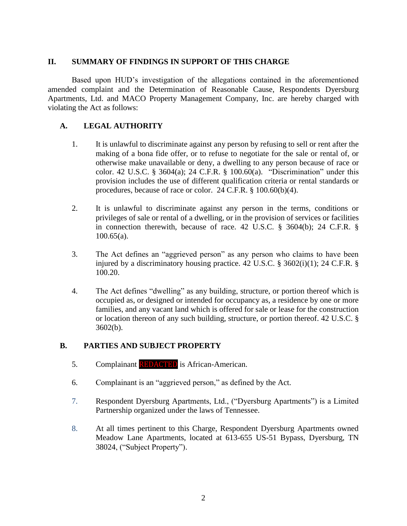### **II. SUMMARY OF FINDINGS IN SUPPORT OF THIS CHARGE**

Based upon HUD's investigation of the allegations contained in the aforementioned amended complaint and the Determination of Reasonable Cause, Respondents Dyersburg Apartments, Ltd. and MACO Property Management Company, Inc. are hereby charged with violating the Act as follows:

## **A. LEGAL AUTHORITY**

- 1. It is unlawful to discriminate against any person by refusing to sell or rent after the making of a bona fide offer, or to refuse to negotiate for the sale or rental of, or otherwise make unavailable or deny, a dwelling to any person because of race or color. 42 U.S.C. § 3604(a); 24 C.F.R. § 100.60(a). "Discrimination" under this provision includes the use of different qualification criteria or rental standards or procedures, because of race or color. 24 C.F.R. § 100.60(b)(4).
- 2. It is unlawful to discriminate against any person in the terms, conditions or privileges of sale or rental of a dwelling, or in the provision of services or facilities in connection therewith, because of race. 42 U.S.C. § 3604(b); 24 C.F.R. § 100.65(a).
- 3. The Act defines an "aggrieved person" as any person who claims to have been injured by a discriminatory housing practice. 42 U.S.C. § 3602(i)(1); 24 C.F.R. § 100.20.
- 4. The Act defines "dwelling" as any building, structure, or portion thereof which is occupied as, or designed or intended for occupancy as, a residence by one or more families, and any vacant land which is offered for sale or lease for the construction or location thereon of any such building, structure, or portion thereof. 42 U.S.C. § 3602(b).

#### **B. PARTIES AND SUBJECT PROPERTY**

- 5. Complainant REDACTED is African-American.
- 6. Complainant is an "aggrieved person," as defined by the Act.
- 7. Respondent Dyersburg Apartments, Ltd., ("Dyersburg Apartments") is a Limited Partnership organized under the laws of Tennessee.
- 8. At all times pertinent to this Charge, Respondent Dyersburg Apartments owned Meadow Lane Apartments, located at 613-655 US-51 Bypass, Dyersburg, TN 38024, ("Subject Property").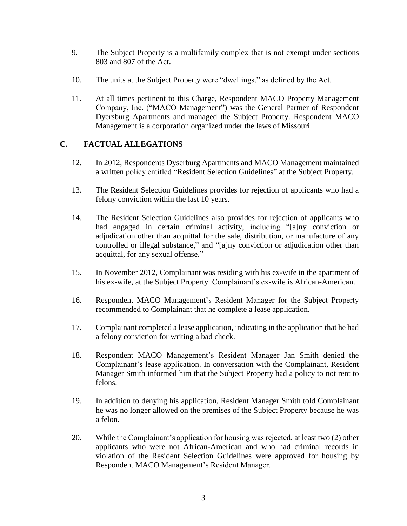- 9. The Subject Property is a multifamily complex that is not exempt under sections 803 and 807 of the Act.
- 10. The units at the Subject Property were "dwellings," as defined by the Act.
- 11. At all times pertinent to this Charge, Respondent MACO Property Management Company, Inc. ("MACO Management") was the General Partner of Respondent Dyersburg Apartments and managed the Subject Property. Respondent MACO Management is a corporation organized under the laws of Missouri.

## **C. FACTUAL ALLEGATIONS**

- 12. In 2012, Respondents Dyserburg Apartments and MACO Management maintained a written policy entitled "Resident Selection Guidelines" at the Subject Property.
- 13. The Resident Selection Guidelines provides for rejection of applicants who had a felony conviction within the last 10 years.
- 14. The Resident Selection Guidelines also provides for rejection of applicants who had engaged in certain criminal activity, including "[a]ny conviction or adjudication other than acquittal for the sale, distribution, or manufacture of any controlled or illegal substance," and "[a]ny conviction or adjudication other than acquittal, for any sexual offense."
- 15. In November 2012, Complainant was residing with his ex-wife in the apartment of his ex-wife, at the Subject Property. Complainant's ex-wife is African-American.
- 16. Respondent MACO Management's Resident Manager for the Subject Property recommended to Complainant that he complete a lease application.
- 17. Complainant completed a lease application, indicating in the application that he had a felony conviction for writing a bad check.
- 18. Respondent MACO Management's Resident Manager Jan Smith denied the Complainant's lease application. In conversation with the Complainant, Resident Manager Smith informed him that the Subject Property had a policy to not rent to felons.
- 19. In addition to denying his application, Resident Manager Smith told Complainant he was no longer allowed on the premises of the Subject Property because he was a felon.
- 20. While the Complainant's application for housing was rejected, at least two (2) other applicants who were not African-American and who had criminal records in violation of the Resident Selection Guidelines were approved for housing by Respondent MACO Management's Resident Manager.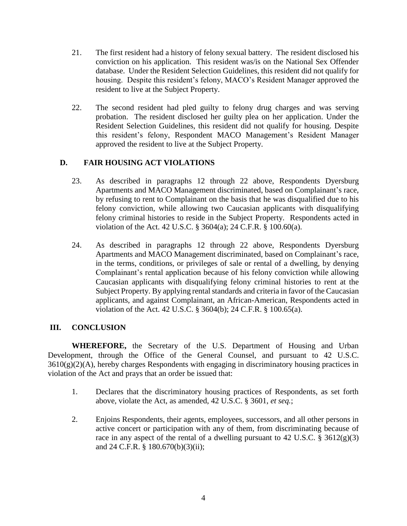- 21. The first resident had a history of felony sexual battery. The resident disclosed his conviction on his application. This resident was/is on the National Sex Offender database. Under the Resident Selection Guidelines, this resident did not qualify for housing. Despite this resident's felony, MACO's Resident Manager approved the resident to live at the Subject Property.
- 22. The second resident had pled guilty to felony drug charges and was serving probation. The resident disclosed her guilty plea on her application. Under the Resident Selection Guidelines, this resident did not qualify for housing. Despite this resident's felony, Respondent MACO Management's Resident Manager approved the resident to live at the Subject Property.

# **D. FAIR HOUSING ACT VIOLATIONS**

- 23. As described in paragraphs 12 through 22 above, Respondents Dyersburg Apartments and MACO Management discriminated, based on Complainant's race, by refusing to rent to Complainant on the basis that he was disqualified due to his felony conviction, while allowing two Caucasian applicants with disqualifying felony criminal histories to reside in the Subject Property. Respondents acted in violation of the Act. 42 U.S.C. § 3604(a); 24 C.F.R. § 100.60(a).
- 24. As described in paragraphs 12 through 22 above, Respondents Dyersburg Apartments and MACO Management discriminated, based on Complainant's race, in the terms, conditions, or privileges of sale or rental of a dwelling, by denying Complainant's rental application because of his felony conviction while allowing Caucasian applicants with disqualifying felony criminal histories to rent at the Subject Property. By applying rental standards and criteria in favor of the Caucasian applicants, and against Complainant, an African-American, Respondents acted in violation of the Act. 42 U.S.C. § 3604(b); 24 C.F.R. § 100.65(a).

## **III. CONCLUSION**

**WHEREFORE,** the Secretary of the U.S. Department of Housing and Urban Development, through the Office of the General Counsel, and pursuant to 42 U.S.C.  $3610(g)(2)(A)$ , hereby charges Respondents with engaging in discriminatory housing practices in violation of the Act and prays that an order be issued that:

- 1. Declares that the discriminatory housing practices of Respondents, as set forth above, violate the Act, as amended, 42 U.S.C. § 3601, *et seq.*;
- 2. Enjoins Respondents, their agents, employees, successors, and all other persons in active concert or participation with any of them, from discriminating because of race in any aspect of the rental of a dwelling pursuant to 42 U.S.C.  $\S$  3612(g)(3) and 24 C.F.R. § 180.670(b)(3)(ii);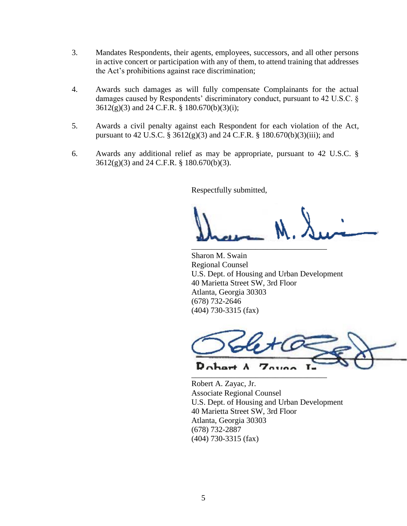- 3. Mandates Respondents, their agents, employees, successors, and all other persons in active concert or participation with any of them, to attend training that addresses the Act's prohibitions against race discrimination;
- 4. Awards such damages as will fully compensate Complainants for the actual damages caused by Respondents' discriminatory conduct, pursuant to 42 U.S.C. § 3612(g)(3) and 24 C.F.R. § 180.670(b)(3)(i);
- 5. Awards a civil penalty against each Respondent for each violation of the Act, pursuant to 42 U.S.C. § 3612(g)(3) and 24 C.F.R. § 180.670(b)(3)(iii); and
- 6. Awards any additional relief as may be appropriate, pursuant to 42 U.S.C. § 3612(g)(3) and 24 C.F.R. § 180.670(b)(3).

Respectfully submitted,

\_\_\_\_\_\_\_\_\_\_\_\_\_\_\_\_\_\_\_\_\_\_\_\_\_\_\_\_\_\_\_\_\_\_

Sharon M. Swain Regional Counsel U.S. Dept. of Housing and Urban Development 40 Marietta Street SW, 3rd Floor Atlanta, Georgia 30303 (678) 732-2646 (404) 730-3315 (fax)



Robert A. Zayac, Jr. Associate Regional Counsel U.S. Dept. of Housing and Urban Development 40 Marietta Street SW, 3rd Floor Atlanta, Georgia 30303 (678) 732-2887 (404) 730-3315 (fax)